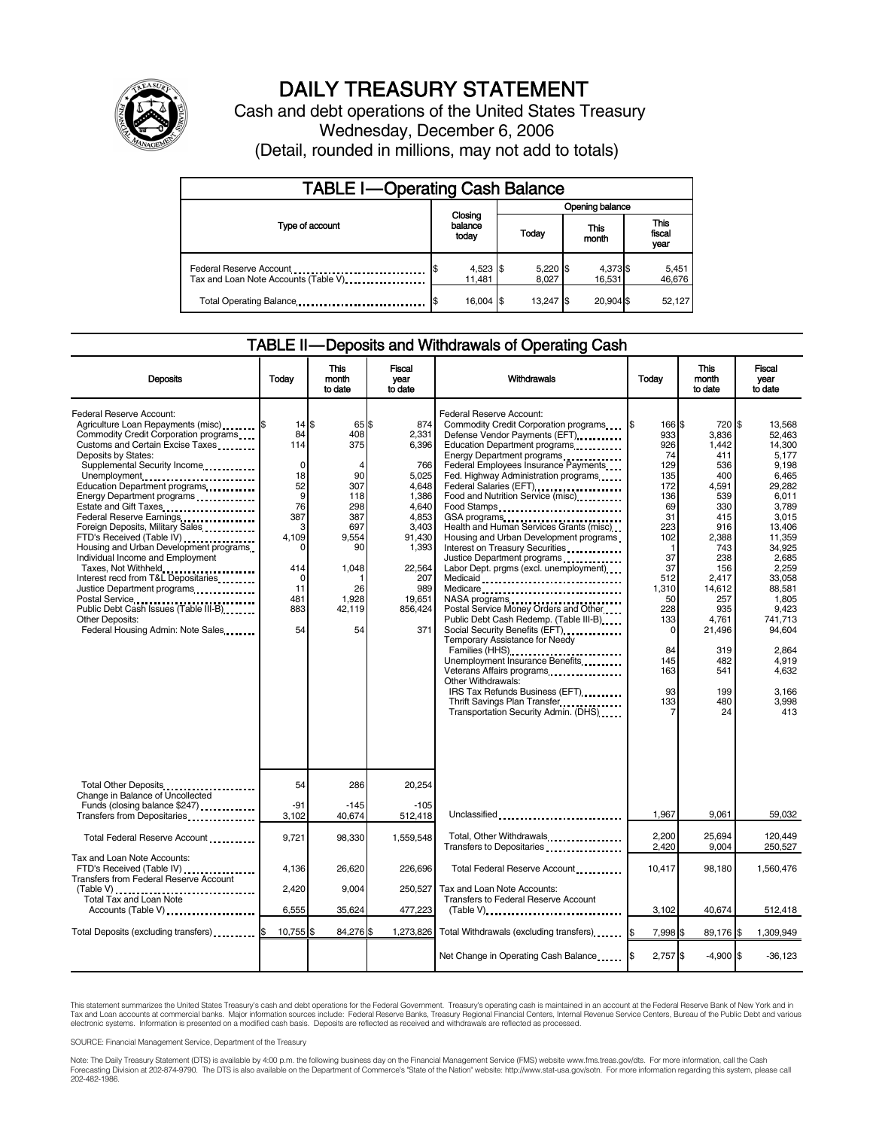

# DAILY TREASURY STATEMENT

Cash and debt operations of the United States Treasury Wednesday, December 6, 2006 (Detail, rounded in millions, may not add to totals)

| <b>TABLE I-Operating Cash Balance</b>                           |  |                             |  |                     |  |                    |  |                               |
|-----------------------------------------------------------------|--|-----------------------------|--|---------------------|--|--------------------|--|-------------------------------|
|                                                                 |  |                             |  |                     |  | Opening balance    |  |                               |
| Type of account                                                 |  | Closing<br>balance<br>today |  | Today               |  | This<br>month      |  | <b>This</b><br>fiscal<br>year |
| Federal Reserve Account<br>Tax and Loan Note Accounts (Table V) |  | $4,523$ \$<br>11.481        |  | $5,220$ \$<br>8.027 |  | 4,373 \$<br>16,531 |  | 5,451<br>46,676               |
| Total Operating Balance                                         |  | $16.004$ S                  |  | 13.247 S            |  | 20.904 \$          |  | 52,127                        |

#### TABLE II — Deposits and Withdrawals of Operating Cash

| <b>Deposits</b>                                                                                                                                                                                                                                                                                                                                                                                                                                                                                                                                                                                                                                                                                             | Todav                                                                                                                                        | This<br>month<br>to date                                                                                            | Fiscal<br>year<br>to date                                                                                                                                 | Withdrawals                                                                                                                                                                                                                                                                                                                                                                                                                                                                                                                                                                                                                                                                                                                                                                                                                                                                                                     | Today                                                                                                                                                                              | <b>This</b><br>month<br>to date                                                                                                                                                                               | Fiscal<br>vear<br>to date                                                                                                                                                                                                                                 |
|-------------------------------------------------------------------------------------------------------------------------------------------------------------------------------------------------------------------------------------------------------------------------------------------------------------------------------------------------------------------------------------------------------------------------------------------------------------------------------------------------------------------------------------------------------------------------------------------------------------------------------------------------------------------------------------------------------------|----------------------------------------------------------------------------------------------------------------------------------------------|---------------------------------------------------------------------------------------------------------------------|-----------------------------------------------------------------------------------------------------------------------------------------------------------|-----------------------------------------------------------------------------------------------------------------------------------------------------------------------------------------------------------------------------------------------------------------------------------------------------------------------------------------------------------------------------------------------------------------------------------------------------------------------------------------------------------------------------------------------------------------------------------------------------------------------------------------------------------------------------------------------------------------------------------------------------------------------------------------------------------------------------------------------------------------------------------------------------------------|------------------------------------------------------------------------------------------------------------------------------------------------------------------------------------|---------------------------------------------------------------------------------------------------------------------------------------------------------------------------------------------------------------|-----------------------------------------------------------------------------------------------------------------------------------------------------------------------------------------------------------------------------------------------------------|
| <b>Federal Reserve Account:</b><br>Agriculture Loan Repayments (misc) <b>\$</b><br>Commodity Credit Corporation programs<br>Customs and Certain Excise Taxes<br>Deposits by States:<br>Supplemental Security Income<br>Unemployment<br>Education Department programs<br>Energy Department programs<br>Estate and Gift Taxes<br>Federal Reserve Earnings<br>Foreign Deposits, Military Sales<br>FTD's Received (Table IV)<br>Housing and Urban Development programs<br>Individual Income and Employment<br>Taxes, Not Withheld<br>Interest recd from T&L Depositaries<br>Justice Department programs<br>Public Debt Cash Issues (Table III-B)<br><b>Other Deposits:</b><br>Federal Housing Admin: Note Sales | $14$ $\frac{1}{3}$<br>84<br>114<br>$\mathbf 0$<br>18<br>52<br>9<br>76<br>387<br>3<br>4.109<br>0<br>414<br>$\Omega$<br>11<br>481<br>883<br>54 | 65 IS<br>408<br>375<br>90<br>307<br>118<br>298<br>387<br>697<br>9.554<br>90<br>1,048<br>26<br>1,928<br>42,119<br>54 | 874<br>2,331<br>6,396<br>766<br>5,025<br>4.648<br>1,386<br>4,640<br>4,853<br>3.403<br>91,430<br>1,393<br>22,564<br>207<br>989<br>19,651<br>856,424<br>371 | Federal Reserve Account:<br>Commodity Credit Corporation programs<br>Defense Vendor Payments (EFT)<br>Education Department programs<br>Energy Department programs<br>Federal Employees Insurance Payments<br>Fed. Highway Administration programs<br>Federal Salaries (EFT)<br>Food and Nutrition Service (misc)<br>Food Stamps<br>GSA programs<br>Health and Human Services Grants (misc)<br>Housing and Urban Development programs<br>Interest on Treasury Securities<br>Justice Department programs<br>Labor Dept. prgms (excl. unemployment)<br>Medicaid<br>Medicare<br>Postal Service Money Orders and Other<br>Public Debt Cash Redemp. (Table III-B)<br>Temporary Assistance for Needy<br>Families (HHS)<br>Unemployment Insurance Benefits<br>Veterans Affairs programs<br>Other Withdrawals:<br>IRS Tax Refunds Business (EFT)<br>Thrift Savings Plan Transfer<br>Transportation Security Admin. (DHS) | l\$<br>166 \$<br>933<br>926<br>74<br>129<br>135<br>172<br>136<br>69<br>31<br>223<br>102<br>1<br>37<br>37<br>512<br>1,310<br>50<br>228<br>133<br>0<br>84<br>145<br>163<br>93<br>133 | 720 \$<br>3.836<br>1.442<br>411<br>536<br>400<br>4,591<br>539<br>330<br>415<br>916<br>2,388<br>743<br>238<br>156<br>2.417<br>14,612<br>257<br>935<br>4.761<br>21,496<br>319<br>482<br>541<br>199<br>480<br>24 | 13.568<br>52,463<br>14.300<br>5,177<br>9,198<br>6,465<br>29.282<br>6.011<br>3,789<br>3.015<br>13.406<br>11.359<br>34,925<br>2,685<br>2.259<br>33.058<br>88,581<br>1,805<br>9.423<br>741.713<br>94,604<br>2.864<br>4.919<br>4.632<br>3.166<br>3.998<br>413 |
| Total Other Deposits<br>Change in Balance of Uncollected                                                                                                                                                                                                                                                                                                                                                                                                                                                                                                                                                                                                                                                    | 54                                                                                                                                           | 286                                                                                                                 | 20,254                                                                                                                                                    |                                                                                                                                                                                                                                                                                                                                                                                                                                                                                                                                                                                                                                                                                                                                                                                                                                                                                                                 |                                                                                                                                                                                    |                                                                                                                                                                                                               |                                                                                                                                                                                                                                                           |
| Funds (closing balance \$247)<br>Transfers from Depositaries                                                                                                                                                                                                                                                                                                                                                                                                                                                                                                                                                                                                                                                | $-91$<br>3,102                                                                                                                               | $-145$<br>40,674                                                                                                    | $-105$<br>512,418                                                                                                                                         | Unclassified                                                                                                                                                                                                                                                                                                                                                                                                                                                                                                                                                                                                                                                                                                                                                                                                                                                                                                    | 1.967                                                                                                                                                                              | 9.061                                                                                                                                                                                                         | 59,032                                                                                                                                                                                                                                                    |
| Total Federal Reserve Account                                                                                                                                                                                                                                                                                                                                                                                                                                                                                                                                                                                                                                                                               | 9,721                                                                                                                                        | 98,330                                                                                                              | 1,559,548                                                                                                                                                 | Total, Other Withdrawals<br>Transfers to Depositaries                                                                                                                                                                                                                                                                                                                                                                                                                                                                                                                                                                                                                                                                                                                                                                                                                                                           | 2,200<br>2.420                                                                                                                                                                     | 25,694<br>9.004                                                                                                                                                                                               | 120.449<br>250,527                                                                                                                                                                                                                                        |
| Tax and Loan Note Accounts:<br>FTD's Received (Table IV)<br>Transfers from Federal Reserve Account                                                                                                                                                                                                                                                                                                                                                                                                                                                                                                                                                                                                          | 4,136<br>2,420                                                                                                                               | 26,620<br>9.004                                                                                                     | 226,696<br>250,527                                                                                                                                        | Total Federal Reserve Account<br>Tax and Loan Note Accounts:                                                                                                                                                                                                                                                                                                                                                                                                                                                                                                                                                                                                                                                                                                                                                                                                                                                    | 10,417                                                                                                                                                                             | 98,180                                                                                                                                                                                                        | 1,560,476                                                                                                                                                                                                                                                 |
| Total Tax and Loan Note<br>Accounts (Table V)                                                                                                                                                                                                                                                                                                                                                                                                                                                                                                                                                                                                                                                               | 6,555                                                                                                                                        | 35,624                                                                                                              | 477,223                                                                                                                                                   | <b>Transfers to Federal Reserve Account</b><br>$(Table V)$ ,                                                                                                                                                                                                                                                                                                                                                                                                                                                                                                                                                                                                                                                                                                                                                                                                                                                    | 3,102                                                                                                                                                                              | 40,674                                                                                                                                                                                                        | 512,418                                                                                                                                                                                                                                                   |
| Total Deposits (excluding transfers)                                                                                                                                                                                                                                                                                                                                                                                                                                                                                                                                                                                                                                                                        | 10,755                                                                                                                                       | 84,276 \$                                                                                                           | 1,273,826                                                                                                                                                 | Total Withdrawals (excluding transfers) [\$                                                                                                                                                                                                                                                                                                                                                                                                                                                                                                                                                                                                                                                                                                                                                                                                                                                                     | 7,998 \$                                                                                                                                                                           | 89,176 \$                                                                                                                                                                                                     | 1,309,949                                                                                                                                                                                                                                                 |
|                                                                                                                                                                                                                                                                                                                                                                                                                                                                                                                                                                                                                                                                                                             |                                                                                                                                              |                                                                                                                     |                                                                                                                                                           | Net Change in Operating Cash Balance                                                                                                                                                                                                                                                                                                                                                                                                                                                                                                                                                                                                                                                                                                                                                                                                                                                                            | $2,757$ \$                                                                                                                                                                         | $-4,900$ \$                                                                                                                                                                                                   | $-36,123$                                                                                                                                                                                                                                                 |

This statement summarizes the United States Treasury's cash and debt operations for the Federal Government. Treasury's operating cash is maintained in an account at the Federal Reserve Bank of New York and in Tax and Loan accounts at commercial banks. Major information sources include: Federal Reserve Banks, Treasury Regional Financial Centers, Internal Revenue Service Centers, Bureau of the Public Debt and various<br>electronic s

SOURCE: Financial Management Service, Department of the Treasury

Note: The Daily Treasury Statement (DTS) is available by 4:00 p.m. the following business day on the Financial Management Service (FMS) website www.fms.treas.gov/dts. For more information, call the Cash<br>Forecasting Divisio 202-482-1986.